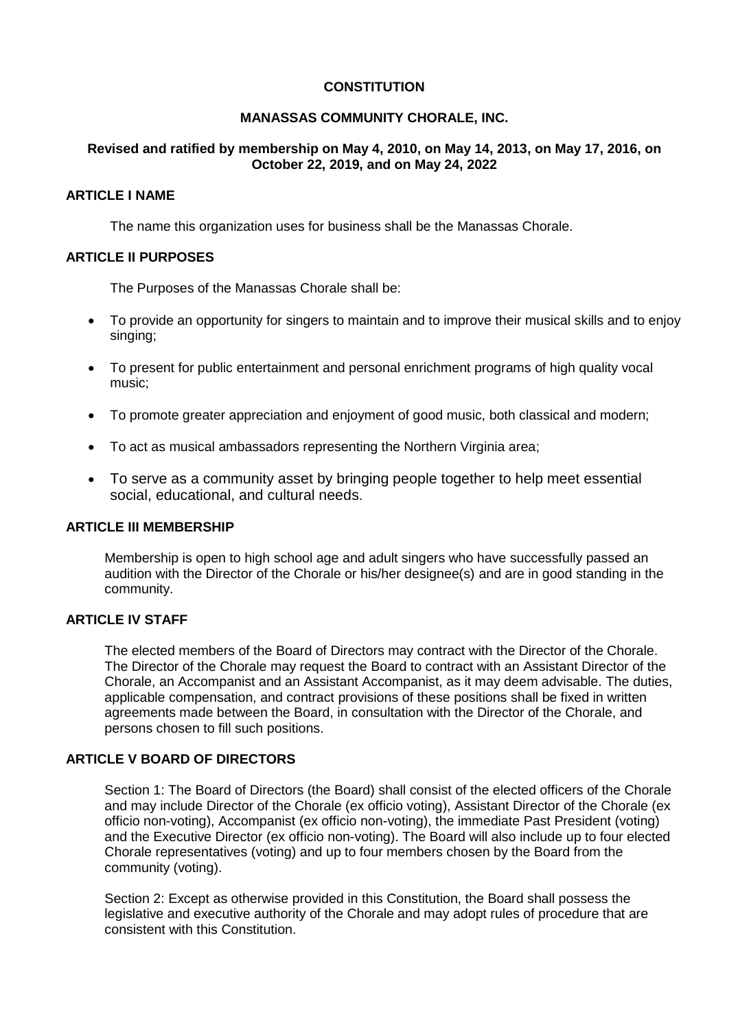# **CONSTITUTION**

# **MANASSAS COMMUNITY CHORALE, INC.**

# **Revised and ratified by membership on May 4, 2010, on May 14, 2013, on May 17, 2016, on October 22, 2019, and on May 24, 2022**

### **ARTICLE I NAME**

The name this organization uses for business shall be the Manassas Chorale.

## **ARTICLE II PURPOSES**

The Purposes of the Manassas Chorale shall be:

- To provide an opportunity for singers to maintain and to improve their musical skills and to enjoy singing;
- To present for public entertainment and personal enrichment programs of high quality vocal music;
- To promote greater appreciation and enjoyment of good music, both classical and modern;
- To act as musical ambassadors representing the Northern Virginia area;
- To serve as a community asset by bringing people together to help meet essential social, educational, and cultural needs.

#### **ARTICLE III MEMBERSHIP**

Membership is open to high school age and adult singers who have successfully passed an audition with the Director of the Chorale or his/her designee(s) and are in good standing in the community.

# **ARTICLE IV STAFF**

The elected members of the Board of Directors may contract with the Director of the Chorale. The Director of the Chorale may request the Board to contract with an Assistant Director of the Chorale, an Accompanist and an Assistant Accompanist, as it may deem advisable. The duties, applicable compensation, and contract provisions of these positions shall be fixed in written agreements made between the Board, in consultation with the Director of the Chorale, and persons chosen to fill such positions.

# **ARTICLE V BOARD OF DIRECTORS**

Section 1: The Board of Directors (the Board) shall consist of the elected officers of the Chorale and may include Director of the Chorale (ex officio voting), Assistant Director of the Chorale (ex officio non-voting), Accompanist (ex officio non-voting), the immediate Past President (voting) and the Executive Director (ex officio non-voting). The Board will also include up to four elected Chorale representatives (voting) and up to four members chosen by the Board from the community (voting).

Section 2: Except as otherwise provided in this Constitution, the Board shall possess the legislative and executive authority of the Chorale and may adopt rules of procedure that are consistent with this Constitution.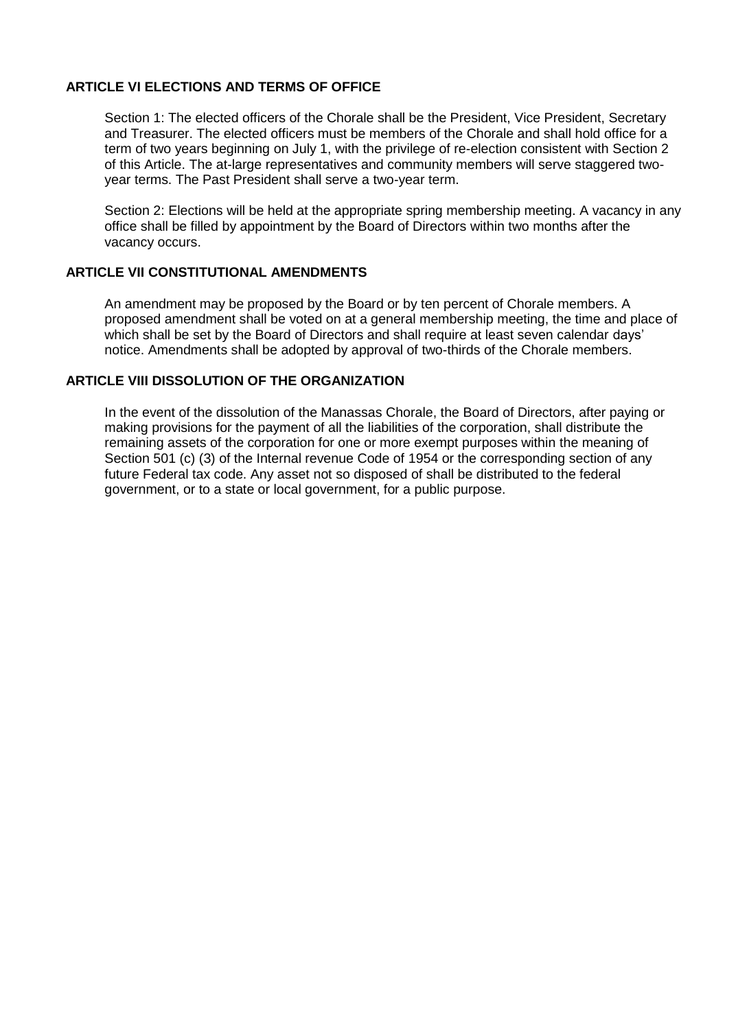## **ARTICLE VI ELECTIONS AND TERMS OF OFFICE**

Section 1: The elected officers of the Chorale shall be the President, Vice President, Secretary and Treasurer. The elected officers must be members of the Chorale and shall hold office for a term of two years beginning on July 1, with the privilege of re-election consistent with Section 2 of this Article. The at-large representatives and community members will serve staggered twoyear terms. The Past President shall serve a two-year term.

Section 2: Elections will be held at the appropriate spring membership meeting. A vacancy in any office shall be filled by appointment by the Board of Directors within two months after the vacancy occurs.

#### **ARTICLE VII CONSTITUTIONAL AMENDMENTS**

An amendment may be proposed by the Board or by ten percent of Chorale members. A proposed amendment shall be voted on at a general membership meeting, the time and place of which shall be set by the Board of Directors and shall require at least seven calendar days' notice. Amendments shall be adopted by approval of two-thirds of the Chorale members.

## **ARTICLE VIII DISSOLUTION OF THE ORGANIZATION**

In the event of the dissolution of the Manassas Chorale, the Board of Directors, after paying or making provisions for the payment of all the liabilities of the corporation, shall distribute the remaining assets of the corporation for one or more exempt purposes within the meaning of Section 501 (c) (3) of the Internal revenue Code of 1954 or the corresponding section of any future Federal tax code. Any asset not so disposed of shall be distributed to the federal government, or to a state or local government, for a public purpose.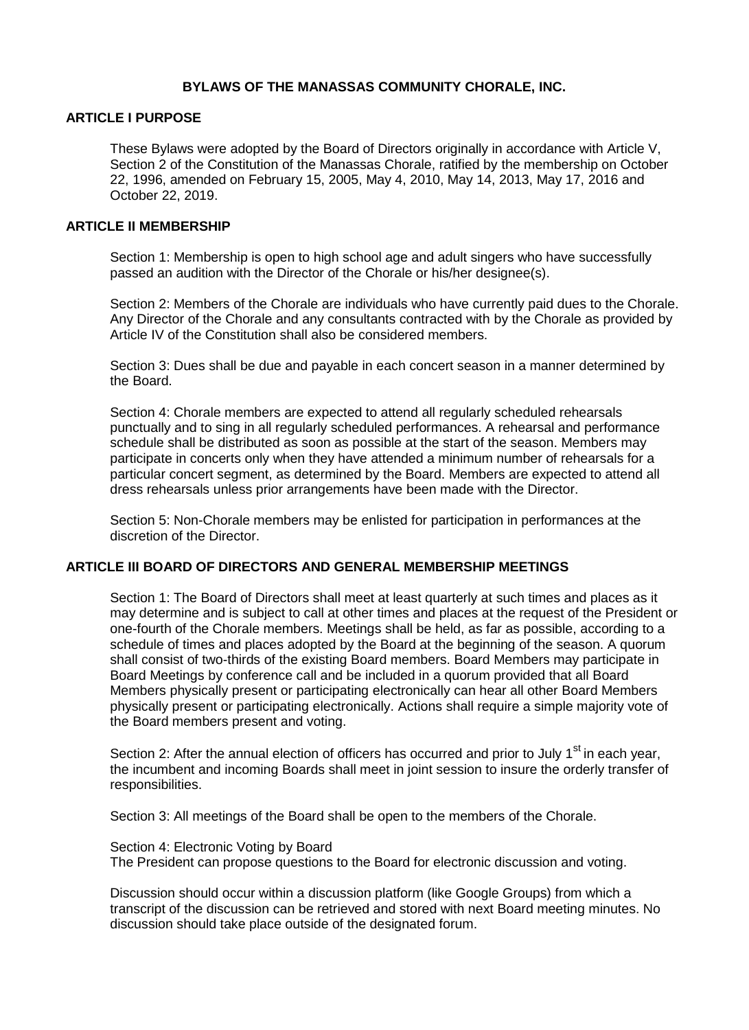## **BYLAWS OF THE MANASSAS COMMUNITY CHORALE, INC.**

## **ARTICLE I PURPOSE**

These Bylaws were adopted by the Board of Directors originally in accordance with Article V, Section 2 of the Constitution of the Manassas Chorale, ratified by the membership on October 22, 1996, amended on February 15, 2005, May 4, 2010, May 14, 2013, May 17, 2016 and October 22, 2019.

#### **ARTICLE II MEMBERSHIP**

Section 1: Membership is open to high school age and adult singers who have successfully passed an audition with the Director of the Chorale or his/her designee(s).

Section 2: Members of the Chorale are individuals who have currently paid dues to the Chorale. Any Director of the Chorale and any consultants contracted with by the Chorale as provided by Article IV of the Constitution shall also be considered members.

Section 3: Dues shall be due and payable in each concert season in a manner determined by the Board.

Section 4: Chorale members are expected to attend all regularly scheduled rehearsals punctually and to sing in all regularly scheduled performances. A rehearsal and performance schedule shall be distributed as soon as possible at the start of the season. Members may participate in concerts only when they have attended a minimum number of rehearsals for a particular concert segment, as determined by the Board. Members are expected to attend all dress rehearsals unless prior arrangements have been made with the Director.

Section 5: Non-Chorale members may be enlisted for participation in performances at the discretion of the Director.

#### **ARTICLE III BOARD OF DIRECTORS AND GENERAL MEMBERSHIP MEETINGS**

Section 1: The Board of Directors shall meet at least quarterly at such times and places as it may determine and is subject to call at other times and places at the request of the President or one-fourth of the Chorale members. Meetings shall be held, as far as possible, according to a schedule of times and places adopted by the Board at the beginning of the season. A quorum shall consist of two-thirds of the existing Board members. Board Members may participate in Board Meetings by conference call and be included in a quorum provided that all Board Members physically present or participating electronically can hear all other Board Members physically present or participating electronically. Actions shall require a simple majority vote of the Board members present and voting.

Section 2: After the annual election of officers has occurred and prior to July 1<sup>st</sup> in each vear. the incumbent and incoming Boards shall meet in joint session to insure the orderly transfer of responsibilities.

Section 3: All meetings of the Board shall be open to the members of the Chorale.

Section 4: Electronic Voting by Board The President can propose questions to the Board for electronic discussion and voting.

Discussion should occur within a discussion platform (like Google Groups) from which a transcript of the discussion can be retrieved and stored with next Board meeting minutes. No discussion should take place outside of the designated forum.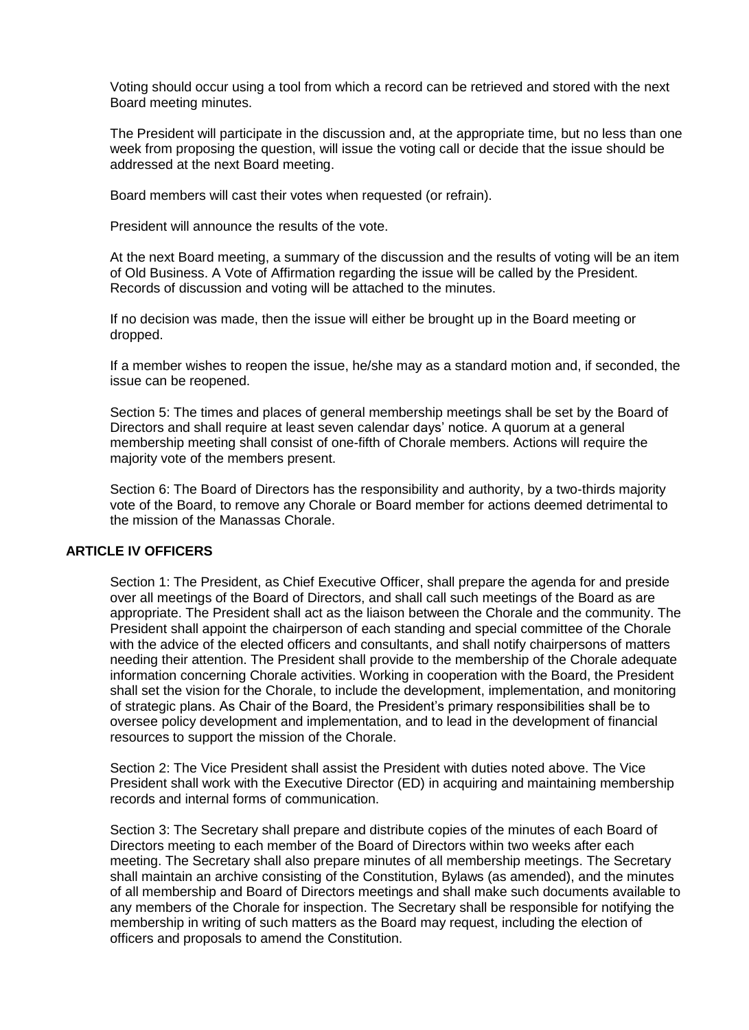Voting should occur using a tool from which a record can be retrieved and stored with the next Board meeting minutes.

The President will participate in the discussion and, at the appropriate time, but no less than one week from proposing the question, will issue the voting call or decide that the issue should be addressed at the next Board meeting.

Board members will cast their votes when requested (or refrain).

President will announce the results of the vote.

At the next Board meeting, a summary of the discussion and the results of voting will be an item of Old Business. A Vote of Affirmation regarding the issue will be called by the President. Records of discussion and voting will be attached to the minutes.

If no decision was made, then the issue will either be brought up in the Board meeting or dropped.

If a member wishes to reopen the issue, he/she may as a standard motion and, if seconded, the issue can be reopened.

Section 5: The times and places of general membership meetings shall be set by the Board of Directors and shall require at least seven calendar days' notice. A quorum at a general membership meeting shall consist of one-fifth of Chorale members. Actions will require the majority vote of the members present.

Section 6: The Board of Directors has the responsibility and authority, by a two-thirds majority vote of the Board, to remove any Chorale or Board member for actions deemed detrimental to the mission of the Manassas Chorale.

#### **ARTICLE IV OFFICERS**

Section 1: The President, as Chief Executive Officer, shall prepare the agenda for and preside over all meetings of the Board of Directors, and shall call such meetings of the Board as are appropriate. The President shall act as the liaison between the Chorale and the community. The President shall appoint the chairperson of each standing and special committee of the Chorale with the advice of the elected officers and consultants, and shall notify chairpersons of matters needing their attention. The President shall provide to the membership of the Chorale adequate information concerning Chorale activities. Working in cooperation with the Board, the President shall set the vision for the Chorale, to include the development, implementation, and monitoring of strategic plans. As Chair of the Board, the President's primary responsibilities shall be to oversee policy development and implementation, and to lead in the development of financial resources to support the mission of the Chorale.

Section 2: The Vice President shall assist the President with duties noted above. The Vice President shall work with the Executive Director (ED) in acquiring and maintaining membership records and internal forms of communication.

Section 3: The Secretary shall prepare and distribute copies of the minutes of each Board of Directors meeting to each member of the Board of Directors within two weeks after each meeting. The Secretary shall also prepare minutes of all membership meetings. The Secretary shall maintain an archive consisting of the Constitution, Bylaws (as amended), and the minutes of all membership and Board of Directors meetings and shall make such documents available to any members of the Chorale for inspection. The Secretary shall be responsible for notifying the membership in writing of such matters as the Board may request, including the election of officers and proposals to amend the Constitution.